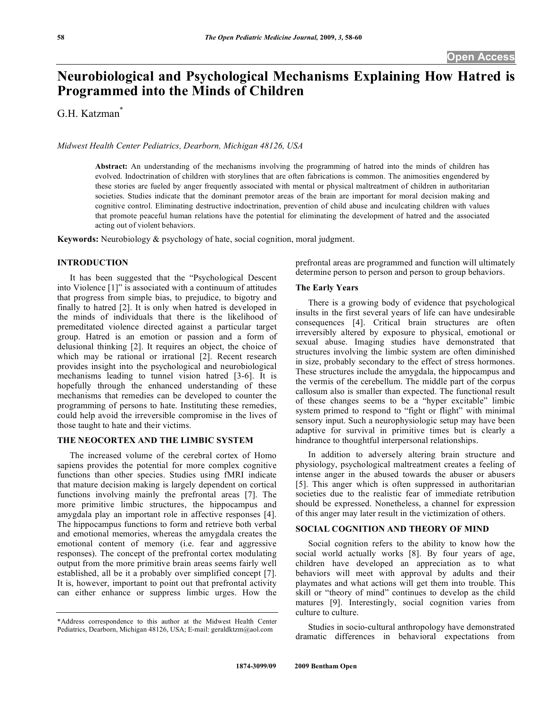# **Neurobiological and Psychological Mechanisms Explaining How Hatred is Programmed into the Minds of Children**

G.H. Katzman\*

*Midwest Health Center Pediatrics, Dearborn, Michigan 48126, USA* 

**Abstract:** An understanding of the mechanisms involving the programming of hatred into the minds of children has evolved. Indoctrination of children with storylines that are often fabrications is common. The animosities engendered by these stories are fueled by anger frequently associated with mental or physical maltreatment of children in authoritarian societies. Studies indicate that the dominant premotor areas of the brain are important for moral decision making and cognitive control. Eliminating destructive indoctrination, prevention of child abuse and inculcating children with values that promote peaceful human relations have the potential for eliminating the development of hatred and the associated acting out of violent behaviors.

**Keywords:** Neurobiology & psychology of hate, social cognition, moral judgment.

# **INTRODUCTION**

 It has been suggested that the "Psychological Descent into Violence [1]" is associated with a continuum of attitudes that progress from simple bias, to prejudice, to bigotry and finally to hatred [2]. It is only when hatred is developed in the minds of individuals that there is the likelihood of premeditated violence directed against a particular target group. Hatred is an emotion or passion and a form of delusional thinking [2]. It requires an object, the choice of which may be rational or irrational [2]. Recent research provides insight into the psychological and neurobiological mechanisms leading to tunnel vision hatred [3-6]. It is hopefully through the enhanced understanding of these mechanisms that remedies can be developed to counter the programming of persons to hate. Instituting these remedies, could help avoid the irreversible compromise in the lives of those taught to hate and their victims.

#### **THE NEOCORTEX AND THE LIMBIC SYSTEM**

 The increased volume of the cerebral cortex of Homo sapiens provides the potential for more complex cognitive functions than other species. Studies using fMRI indicate that mature decision making is largely dependent on cortical functions involving mainly the prefrontal areas [7]. The more primitive limbic structures, the hippocampus and amygdala play an important role in affective responses [4]. The hippocampus functions to form and retrieve both verbal and emotional memories, whereas the amygdala creates the emotional content of memory (i.e. fear and aggressive responses). The concept of the prefrontal cortex modulating output from the more primitive brain areas seems fairly well established, all be it a probably over simplified concept [7]. It is, however, important to point out that prefrontal activity can either enhance or suppress limbic urges. How the prefrontal areas are programmed and function will ultimately determine person to person and person to group behaviors.

# **The Early Years**

There is a growing body of evidence that psychological insults in the first several years of life can have undesirable consequences [4]. Critical brain structures are often irreversibly altered by exposure to physical, emotional or sexual abuse. Imaging studies have demonstrated that structures involving the limbic system are often diminished in size, probably secondary to the effect of stress hormones. These structures include the amygdala, the hippocampus and the vermis of the cerebellum. The middle part of the corpus callosum also is smaller than expected. The functional result of these changes seems to be a "hyper excitable" limbic system primed to respond to "fight or flight" with minimal sensory input. Such a neurophysiologic setup may have been adaptive for survival in primitive times but is clearly a hindrance to thoughtful interpersonal relationships.

 In addition to adversely altering brain structure and physiology, psychological maltreatment creates a feeling of intense anger in the abused towards the abuser or abusers [5]. This anger which is often suppressed in authoritarian societies due to the realistic fear of immediate retribution should be expressed. Nonetheless, a channel for expression of this anger may later result in the victimization of others.

# **SOCIAL COGNITION AND THEORY OF MIND**

 Social cognition refers to the ability to know how the social world actually works [8]. By four years of age, children have developed an appreciation as to what behaviors will meet with approval by adults and their playmates and what actions will get them into trouble. This skill or "theory of mind" continues to develop as the child matures [9]. Interestingly, social cognition varies from culture to culture.

 Studies in socio-cultural anthropology have demonstrated dramatic differences in behavioral expectations from

<sup>\*</sup>Address correspondence to this author at the Midwest Health Center Pediatrics, Dearborn, Michigan 48126, USA; E-mail: geraldktzm@aol.com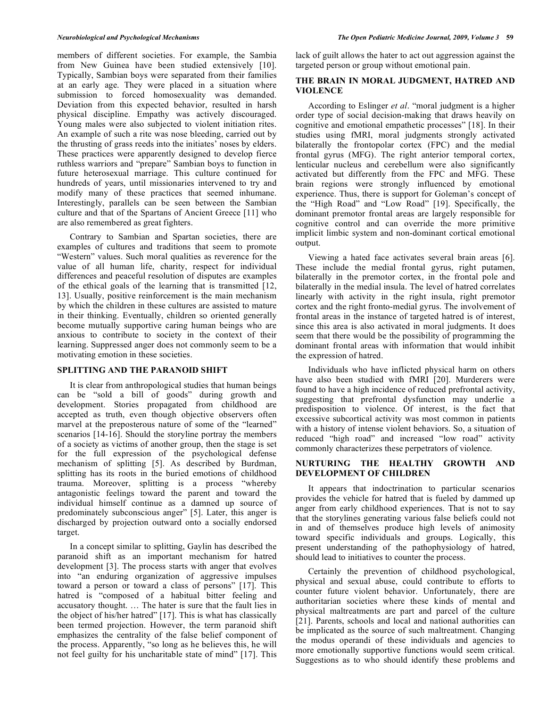members of different societies. For example, the Sambia from New Guinea have been studied extensively [10]. Typically, Sambian boys were separated from their families at an early age. They were placed in a situation where submission to forced homosexuality was demanded. Deviation from this expected behavior, resulted in harsh physical discipline. Empathy was actively discouraged. Young males were also subjected to violent initiation rites. An example of such a rite was nose bleeding, carried out by the thrusting of grass reeds into the initiates' noses by elders. These practices were apparently designed to develop fierce ruthless warriors and "prepare" Sambian boys to function in future heterosexual marriage. This culture continued for hundreds of years, until missionaries intervened to try and modify many of these practices that seemed inhumane. Interestingly, parallels can be seen between the Sambian culture and that of the Spartans of Ancient Greece [11] who are also remembered as great fighters.

 Contrary to Sambian and Spartan societies, there are examples of cultures and traditions that seem to promote "Western" values. Such moral qualities as reverence for the value of all human life, charity, respect for individual differences and peaceful resolution of disputes are examples of the ethical goals of the learning that is transmitted [12, 13]. Usually, positive reinforcement is the main mechanism by which the children in these cultures are assisted to mature in their thinking. Eventually, children so oriented generally become mutually supportive caring human beings who are anxious to contribute to society in the context of their learning. Suppressed anger does not commonly seem to be a motivating emotion in these societies.

#### **SPLITTING AND THE PARANOID SHIFT**

 It is clear from anthropological studies that human beings can be "sold a bill of goods" during growth and development. Stories propagated from childhood are accepted as truth, even though objective observers often marvel at the preposterous nature of some of the "learned" scenarios [14-16]. Should the storyline portray the members of a society as victims of another group, then the stage is set for the full expression of the psychological defense mechanism of splitting [5]. As described by Burdman, splitting has its roots in the buried emotions of childhood trauma. Moreover, splitting is a process "whereby antagonistic feelings toward the parent and toward the individual himself continue as a damned up source of predominately subconscious anger" [5]. Later, this anger is discharged by projection outward onto a socially endorsed target.

 In a concept similar to splitting, Gaylin has described the paranoid shift as an important mechanism for hatred development [3]. The process starts with anger that evolves into "an enduring organization of aggressive impulses toward a person or toward a class of persons" [17]. This hatred is "composed of a habitual bitter feeling and accusatory thought. … The hater is sure that the fault lies in the object of his/her hatred" [17]. This is what has classically been termed projection. However, the term paranoid shift emphasizes the centrality of the false belief component of the process. Apparently, "so long as he believes this, he will not feel guilty for his uncharitable state of mind" [17]. This

lack of guilt allows the hater to act out aggression against the targeted person or group without emotional pain.

# **THE BRAIN IN MORAL JUDGMENT, HATRED AND VIOLENCE**

 According to Eslinger *et al*. "moral judgment is a higher order type of social decision-making that draws heavily on cognitive and emotional empathetic processes" [18]. In their studies using fMRI, moral judgments strongly activated bilaterally the frontopolar cortex (FPC) and the medial frontal gyrus (MFG). The right anterior temporal cortex, lenticular nucleus and cerebellum were also significantly activated but differently from the FPC and MFG. These brain regions were strongly influenced by emotional experience. Thus, there is support for Goleman's concept of the "High Road" and "Low Road" [19]. Specifically, the dominant premotor frontal areas are largely responsible for cognitive control and can override the more primitive implicit limbic system and non-dominant cortical emotional output.

 Viewing a hated face activates several brain areas [6]. These include the medial frontal gyrus, right putamen, bilaterally in the premotor cortex, in the frontal pole and bilaterally in the medial insula. The level of hatred correlates linearly with activity in the right insula, right premotor cortex and the right fronto-medial gyrus. The involvement of frontal areas in the instance of targeted hatred is of interest, since this area is also activated in moral judgments. It does seem that there would be the possibility of programming the dominant frontal areas with information that would inhibit the expression of hatred.

 Individuals who have inflicted physical harm on others have also been studied with fMRI [20]. Murderers were found to have a high incidence of reduced prefrontal activity, suggesting that prefrontal dysfunction may underlie a predisposition to violence. Of interest, is the fact that excessive subcortical activity was most common in patients with a history of intense violent behaviors. So, a situation of reduced "high road" and increased "low road" activity commonly characterizes these perpetrators of violence.

# **NURTURING THE HEALTHY GROWTH AND DEVELOPMENT OF CHILDREN**

It appears that indoctrination to particular scenarios provides the vehicle for hatred that is fueled by dammed up anger from early childhood experiences. That is not to say that the storylines generating various false beliefs could not in and of themselves produce high levels of animosity toward specific individuals and groups. Logically, this present understanding of the pathophysiology of hatred, should lead to initiatives to counter the process.

 Certainly the prevention of childhood psychological, physical and sexual abuse, could contribute to efforts to counter future violent behavior. Unfortunately, there are authoritarian societies where these kinds of mental and physical maltreatments are part and parcel of the culture [21]. Parents, schools and local and national authorities can be implicated as the source of such maltreatment. Changing the modus operandi of these individuals and agencies to more emotionally supportive functions would seem critical. Suggestions as to who should identify these problems and